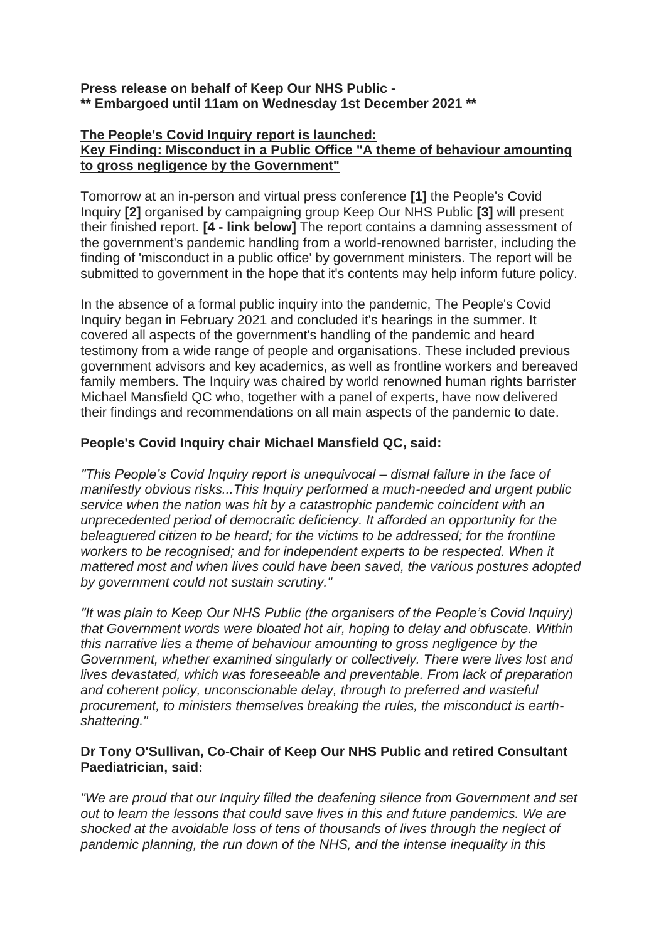#### **Press release on behalf of Keep Our NHS Public - \*\* Embargoed until 11am on Wednesday 1st December 2021 \*\***

#### **The People's Covid Inquiry report is launched: Key Finding: Misconduct in a Public Office "A theme of behaviour amounting to gross negligence by the Government"**

Tomorrow at an in-person and virtual press conference **[1]** the People's Covid Inquiry **[2]** organised by campaigning group Keep Our NHS Public **[3]** will present their finished report. **[4 - link below]** The report contains a damning assessment of the government's pandemic handling from a world-renowned barrister, including the finding of 'misconduct in a public office' by government ministers. The report will be submitted to government in the hope that it's contents may help inform future policy.

In the absence of a formal public inquiry into the pandemic, The People's Covid Inquiry began in February 2021 and concluded it's hearings in the summer. It covered all aspects of the government's handling of the pandemic and heard testimony from a wide range of people and organisations. These included previous government advisors and key academics, as well as frontline workers and bereaved family members. The Inquiry was chaired by world renowned human rights barrister Michael Mansfield QC who, together with a panel of experts, have now delivered their findings and recommendations on all main aspects of the pandemic to date.

# **People's Covid Inquiry chair Michael Mansfield QC, said:**

*"This People's Covid Inquiry report is unequivocal – dismal failure in the face of manifestly obvious risks...This Inquiry performed a much-needed and urgent public service when the nation was hit by a catastrophic pandemic coincident with an unprecedented period of democratic deficiency. It afforded an opportunity for the beleaguered citizen to be heard; for the victims to be addressed; for the frontline workers to be recognised; and for independent experts to be respected. When it mattered most and when lives could have been saved, the various postures adopted by government could not sustain scrutiny."*

*"It was plain to Keep Our NHS Public (the organisers of the People's Covid Inquiry) that Government words were bloated hot air, hoping to delay and obfuscate. Within this narrative lies a theme of behaviour amounting to gross negligence by the Government, whether examined singularly or collectively. There were lives lost and lives devastated, which was foreseeable and preventable. From lack of preparation and coherent policy, unconscionable delay, through to preferred and wasteful procurement, to ministers themselves breaking the rules, the misconduct is earthshattering."*

## **Dr Tony O'Sullivan, Co-Chair of Keep Our NHS Public and retired Consultant Paediatrician, said:**

*"We are proud that our Inquiry filled the deafening silence from Government and set out to learn the lessons that could save lives in this and future pandemics. We are shocked at the avoidable loss of tens of thousands of lives through the neglect of pandemic planning, the run down of the NHS, and the intense inequality in this*